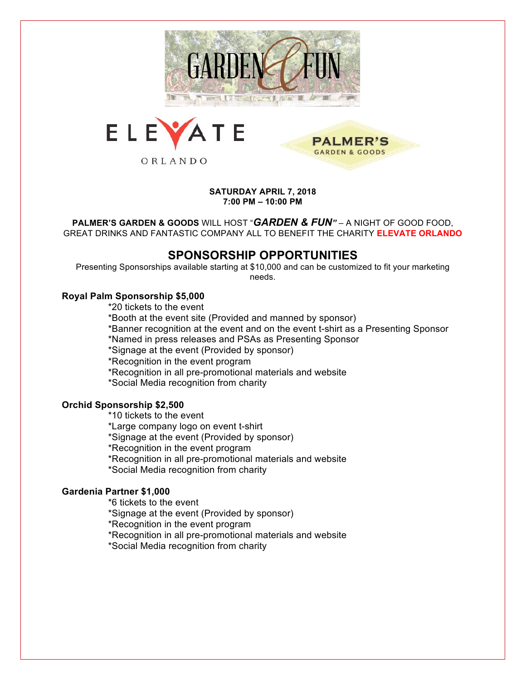



**SATURDAY APRIL 7, 2018 7:00 PM – 10:00 PM**

**PALMER'S GARDEN & GOODS** 

**PALMER'S GARDEN & GOODS** WILL HOST "*GARDEN & FUN"* – A NIGHT OF GOOD FOOD, GREAT DRINKS AND FANTASTIC COMPANY ALL TO BENEFIT THE CHARITY **ELEVATE ORLANDO**

## **SPONSORSHIP OPPORTUNITIES**

Presenting Sponsorships available starting at \$10,000 and can be customized to fit your marketing needs.

### **Royal Palm Sponsorship \$5,000**

\*20 tickets to the event

\*Booth at the event site (Provided and manned by sponsor)

\*Banner recognition at the event and on the event t-shirt as a Presenting Sponsor

\*Named in press releases and PSAs as Presenting Sponsor

\*Signage at the event (Provided by sponsor)

\*Recognition in the event program

\*Recognition in all pre-promotional materials and website

\*Social Media recognition from charity

#### **Orchid Sponsorship \$2,500**

\*10 tickets to the event \*Large company logo on event t-shirt \*Signage at the event (Provided by sponsor) \*Recognition in the event program \*Recognition in all pre-promotional materials and website \*Social Media recognition from charity

#### **Gardenia Partner \$1,000**

\*6 tickets to the event

\*Signage at the event (Provided by sponsor)

\*Recognition in the event program

\*Recognition in all pre-promotional materials and website

\*Social Media recognition from charity